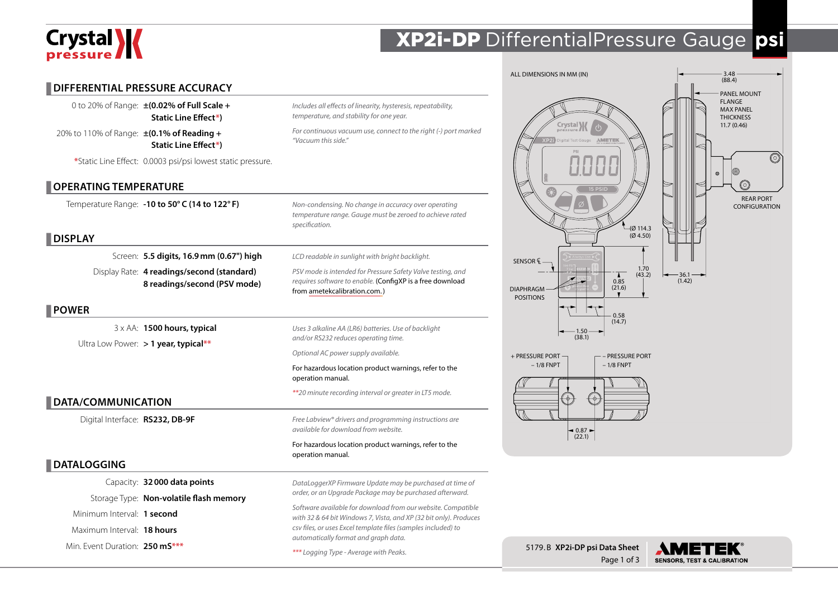# Crystal X

## XP2i-DP DifferentialPressure Gauge **psi**

Page 1 of 3

**SENSORS, TEST & CALIBRATION** 

|                                                                                                                    |                                                                                                                                                          | ALL DIMENSIONS IN MM (IN)                                                                      | $3.48$<br>(88.4)                                                     |
|--------------------------------------------------------------------------------------------------------------------|----------------------------------------------------------------------------------------------------------------------------------------------------------|------------------------------------------------------------------------------------------------|----------------------------------------------------------------------|
| <b>DIFFERENTIAL PRESSURE ACCURACY</b><br>0 to 20% of Range: ±(0.02% of Full Scale +<br><b>Static Line Effect*)</b> | Includes all effects of linearity, hysteresis, repeatability,<br>temperature, and stability for one year.                                                |                                                                                                | PANEL MOUNT<br><b>FLANGE</b><br><b>MAX PANEL</b><br><b>THICKNESS</b> |
| 20% to 110% of Range: ±(0.1% of Reading +<br><b>Static Line Effect*)</b>                                           | For continuous vacuum use, connect to the right (-) port marked<br>"Vacuum this side."                                                                   | Crystal X<br>ital Test Gauge <b>AMETEK</b>                                                     | 11.7(0.46)                                                           |
| *Static Line Effect: 0.0003 psi/psi lowest static pressure.                                                        |                                                                                                                                                          |                                                                                                |                                                                      |
| OPERATING TEMPERATURE                                                                                              |                                                                                                                                                          |                                                                                                |                                                                      |
| Temperature Range: -10 to 50°C (14 to 122°F)                                                                       | Non-condensing. No change in accuracy over operating<br>temperature range. Gauge must be zeroed to achieve rated<br>specification.                       | (Ø 114.3                                                                                       | <b>REAR PORT</b><br><b>CONFIGURATION</b>                             |
| <b>DISPLAY</b>                                                                                                     |                                                                                                                                                          | (Ø4.50)                                                                                        |                                                                      |
| Screen: 5.5 digits, 16.9 mm (0.67") high                                                                           | LCD readable in sunlight with bright backlight.                                                                                                          | SENSOR Q                                                                                       |                                                                      |
| Display Rate: 4 readings/second (standard)<br>8 readings/second (PSV mode)                                         | PSV mode is intended for Pressure Safety Valve testing, and<br>requires software to enable. (ConfigXP is a free download<br>from ametekcalibration.com.) | $1.70$<br>(43.2)<br>$\blacktriangle$<br>0.85<br>(21.6)<br><b>DIAPHRAGM</b><br><b>POSITIONS</b> | $-36.1$<br>(1.42)                                                    |
| POWER                                                                                                              |                                                                                                                                                          | 0.58                                                                                           |                                                                      |
| 3 x AA: 1500 hours, typical<br>Ultra Low Power: $>$ 1 year, typical**                                              | Uses 3 alkaline AA (LR6) batteries. Use of backlight<br>and/or RS232 reduces operating time.                                                             | (14.7)<br>$-1.50 -$<br>(38.1)                                                                  |                                                                      |
|                                                                                                                    | Optional AC power supply available.                                                                                                                      | + PRESSURE PORT<br><b>PRESSURE PORT</b>                                                        |                                                                      |
|                                                                                                                    | For hazardous location product warnings, refer to the<br>operation manual.                                                                               | $-1/8$ FNPT<br>$-1/8$ FNPT                                                                     |                                                                      |
| DATA/COMMUNICATION                                                                                                 | **20 minute recording interval or greater in LT5 mode.                                                                                                   | ⊕                                                                                              |                                                                      |
| Digital Interface: RS232, DB-9F                                                                                    | Free Labview <sup>®</sup> drivers and programming instructions are<br>available for download from website.                                               | $\bigg  0.87 - (22.1) \bigg $                                                                  |                                                                      |
|                                                                                                                    | For hazardous location product warnings, refer to the<br>operation manual.                                                                               |                                                                                                |                                                                      |
| <b>DATALOGGING</b>                                                                                                 |                                                                                                                                                          |                                                                                                |                                                                      |
| Capacity: 32000 data points                                                                                        | DataLoggerXP Firmware Update may be purchased at time of                                                                                                 |                                                                                                |                                                                      |
| Storage Type: Non-volatile flash memory                                                                            | order, or an Upgrade Package may be purchased afterward.                                                                                                 |                                                                                                |                                                                      |
| Minimum Interval: 1 second                                                                                         | Software available for download from our website. Compatible<br>with 32 & 64 bit Windows 7, Vista, and XP (32 bit only). Produces                        |                                                                                                |                                                                      |
| Maximum Interval: 18 hours                                                                                         | csv files, or uses Excel template files (samples included) to                                                                                            |                                                                                                |                                                                      |
| Min. Event Duration: 250 mS***                                                                                     | automatically format and graph data.<br>*** Logging Type - Average with Peaks.                                                                           | 5179.B XP2i-DP psi Data Sheet                                                                  | <b>AMETEK®</b>                                                       |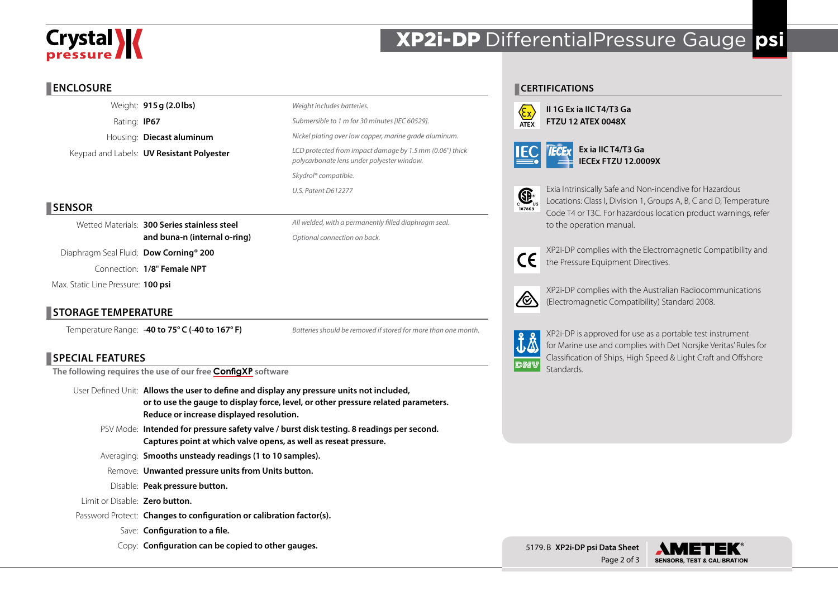## **Crystal \/**

### XP2i-DP DifferentialPressure Gauge **psi**

### **ENCLOSURE**

Weight: **915g (2.0lbs)** Rating: **IP67** Housing: **Diecast aluminum** Keypad and Labels: **UV Resistant Polyester**

| Weight includes batteries.                                                                             |
|--------------------------------------------------------------------------------------------------------|
| Submersible to 1 m for 30 minutes [IEC 60529].                                                         |
| Nickel plating over low copper, marine grade aluminum.                                                 |
| LCD protected from impact damage by 1.5 mm (0.06") thick<br>polycarbonate lens under polyester window. |
| Skydrol <sup>®</sup> compatible.                                                                       |
| U.S. Patent D612277                                                                                    |
|                                                                                                        |

*All welded, with a permanently filled diaphragm seal.*

*Batteries should be removed if stored for more than one month.*

*Optional connection on back.*

### **SENSOR**

Wetted Materials: **300 Series stainless steel and buna-n (internal o-ring)**

Diaphragm Seal Fluid: **Dow Corning® 200** 

Connection: **1/8**" **Female NPT**

Max. Static Line Pressure: **100 psi**

### **STORAGE TEMPERATURE**

Temperature Range: **-40 to 75° C (-40 to 167° F)**

### **SPECIAL FEATURES**

**The following requires the use of our free [ConfigXP](http://www.ametekcalibration.com/products/software/configuration-software/configxp-configuration-software) software**

- User Defined Unit: **Allows the user to define and display any pressure units not included, or to use the gauge to display force, level, or other pressure related parameters. Reduce or increase displayed resolution.**
	- PSV Mode: **Intended for pressure safety valve / burst disk testing. 8 readings per second. Captures point at which valve opens, as well as reseat pressure.**

Averaging: **Smooths unsteady readings (1 to 10 samples).**

Remove: **Unwanted pressure units from Units button.**

Disable: **Peak pressure button.**

Limit or Disable: **Zero button.**

- Password Protect: **Changes to configuration or calibration factor(s).**
	- Save: **Configuration to a file.**
	- Copy: **Configuration can be copied to other gauges.**

### **CERTIFICATIONS**



**II 1G Ex ia IIC T4/T3 Ga FTZU 12 ATEX 0048X**



**Ex ia IIC T4/T3 Ga IECEx FTZU 12.0009X**



Exia Intrinsically Safe and Non-incendive for Hazardous Locations: Class I, Division 1, Groups A, B, C and D, Temperature Code T4 or T3C. For hazardous location product warnings, refer to the operation manual.

 $\epsilon$ 

XP2i-DP complies with the Electromagnetic Compatibility and the Pressure Equipment Directives.



XP2i-DP complies with the Australian Radiocommunications (Electromagnetic Compatibility) Standard 2008.



XP2i-DP is approved for use as a portable test instrument for Marine use and complies with Det Norsjke Veritas' Rules for Classification of Ships, High Speed & Light Craft and Offshore **Standards**